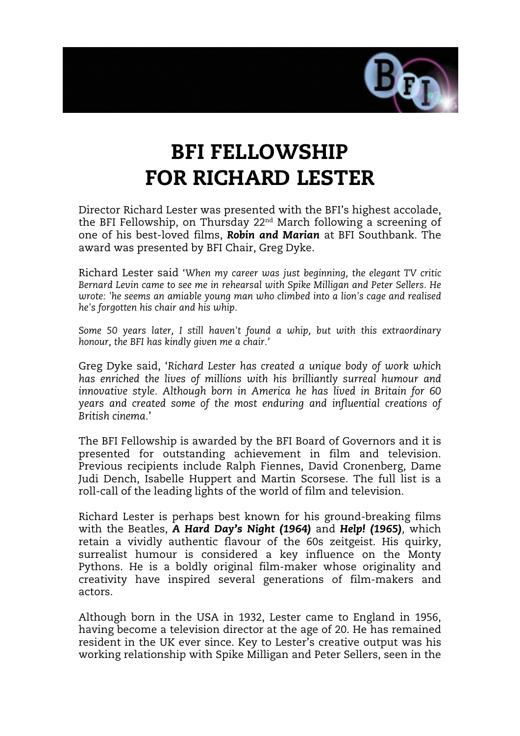

# BFI FELLOWSHIP FOR RICHARD LESTER

Director Richard Lester was presented with the BFI's highest accolade, the BFI Fellowship, on Thursday 22nd March following a screening of one of his best-loved films, *Robin and Marian* at BFI Southbank. The award was presented by BFI Chair, Greg Dyke.

Richard Lester said '*When my career was just beginning, the elegant TV critic Bernard Levin came to see me in rehearsal with Spike Milligan and Peter Sellers. He wrote: 'he seems an amiable young man who climbed into a lion's cage and realised he's forgotten his chair and his whip.*

*Some 50 years later, I still haven't found a whip, but with this extraordinary honour, the BFI has kindly given me a chair.'* 

Greg Dyke said, '*Richard Lester has created a unique body of work which has enriched the lives of millions with his brilliantly surreal humour and innovative style. Although born in America he has lived in Britain for 60 years and created some of the most enduring and influential creations of British cinema.*'

The BFI Fellowship is awarded by the BFI Board of Governors and it is presented for outstanding achievement in film and television. Previous recipients include Ralph Fiennes, David Cronenberg, Dame Judi Dench, Isabelle Huppert and Martin Scorsese. The full list is a roll-call of the leading lights of the world of film and television.

Richard Lester is perhaps best known for his ground-breaking films with the Beatles, *A Hard Day's Night (1964)* and *Help! (1965),* which retain a vividly authentic flavour of the 60s zeitgeist. His quirky, surrealist humour is considered a key influence on the Monty Pythons. He is a boldly original film-maker whose originality and creativity have inspired several generations of film-makers and actors.

Although born in the USA in 1932, Lester came to England in 1956, having become a television director at the age of 20. He has remained resident in the UK ever since. Key to Lester's creative output was his working relationship with Spike Milligan and Peter Sellers, seen in the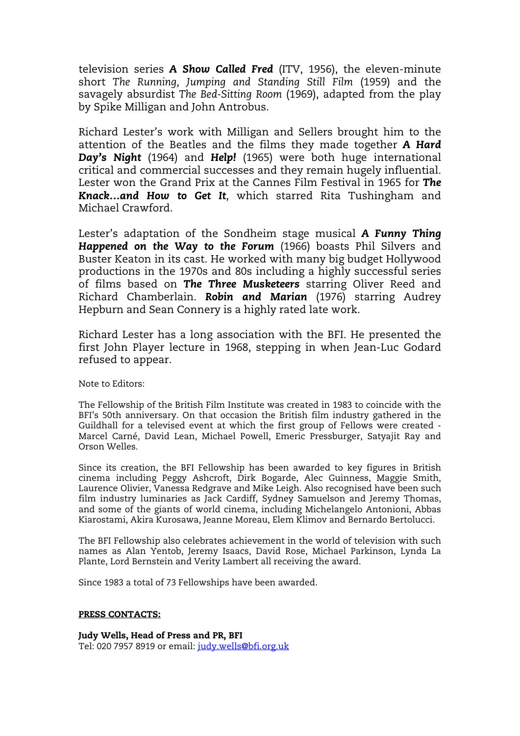television series *A Show Called Fred* (ITV, 1956), the eleven-minute short *The Running, Jumping and Standing Still Film* (1959) and the savagely absurdist *The Bed-Sitting Room* (1969), adapted from the play by Spike Milligan and John Antrobus.

Richard Lester's work with Milligan and Sellers brought him to the attention of the Beatles and the films they made together *A Hard Day's Night* (1964) and *Help!* (1965) were both huge international critical and commercial successes and they remain hugely influential. Lester won the Grand Prix at the Cannes Film Festival in 1965 for *The Knack…and How to Get It*, which starred Rita Tushingham and Michael Crawford.

Lester's adaptation of the Sondheim stage musical *A Funny Thing Happened on the Way to the Forum* (1966) boasts Phil Silvers and Buster Keaton in its cast. He worked with many big budget Hollywood productions in the 1970s and 80s including a highly successful series of films based on *The Three Musketeers* starring Oliver Reed and Richard Chamberlain. *Robin and Marian* (1976) starring Audrey Hepburn and Sean Connery is a highly rated late work.

Richard Lester has a long association with the BFI. He presented the first John Player lecture in 1968, stepping in when Jean-Luc Godard refused to appear.

Note to Editors:

The Fellowship of the British Film Institute was created in 1983 to coincide with the BFI's 50th anniversary. On that occasion the British film industry gathered in the Guildhall for a televised event at which the first group of Fellows were created - Marcel Carné, David Lean, Michael Powell, Emeric Pressburger, Satyajit Ray and Orson Welles.

Since its creation, the BFI Fellowship has been awarded to key figures in British cinema including Peggy Ashcroft, Dirk Bogarde, Alec Guinness, Maggie Smith, Laurence Olivier, Vanessa Redgrave and Mike Leigh. Also recognised have been such film industry luminaries as Jack Cardiff, Sydney Samuelson and Jeremy Thomas, and some of the giants of world cinema, including Michelangelo Antonioni, Abbas Kiarostami, Akira Kurosawa, Jeanne Moreau, Elem Klimov and Bernardo Bertolucci.

The BFI Fellowship also celebrates achievement in the world of television with such names as Alan Yentob, Jeremy Isaacs, David Rose, Michael Parkinson, Lynda La Plante, Lord Bernstein and Verity Lambert all receiving the award.

Since 1983 a total of 73 Fellowships have been awarded.

#### PRESS CONTACTS:

Judy Wells, Head of Press and PR, BFI Tel: 020 7957 8919 or email: [judy.wells@bfi.org.uk](mailto:judy.wells@bfi.org.uk)